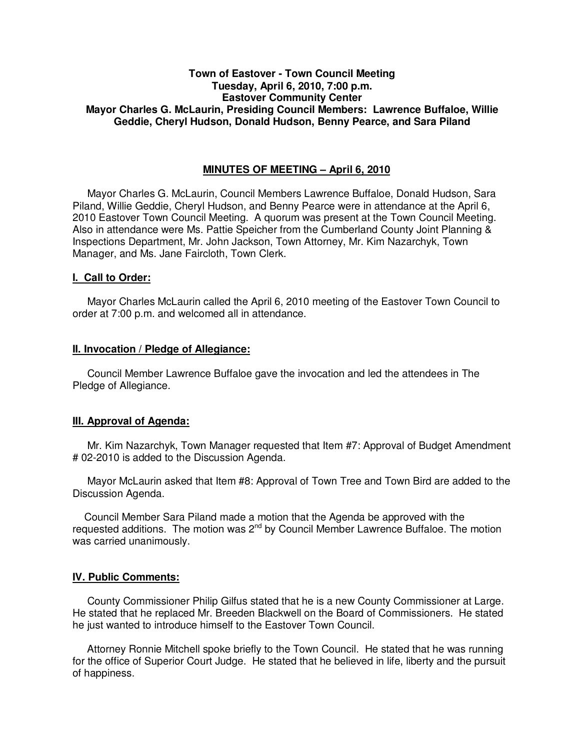# **Town of Eastover - Town Council Meeting Tuesday, April 6, 2010, 7:00 p.m. Eastover Community Center Mayor Charles G. McLaurin, Presiding Council Members: Lawrence Buffaloe, Willie Geddie, Cheryl Hudson, Donald Hudson, Benny Pearce, and Sara Piland**

# **MINUTES OF MEETING – April 6, 2010**

Mayor Charles G. McLaurin, Council Members Lawrence Buffaloe, Donald Hudson, Sara Piland, Willie Geddie, Cheryl Hudson, and Benny Pearce were in attendance at the April 6, 2010 Eastover Town Council Meeting. A quorum was present at the Town Council Meeting. Also in attendance were Ms. Pattie Speicher from the Cumberland County Joint Planning & Inspections Department, Mr. John Jackson, Town Attorney, Mr. Kim Nazarchyk, Town Manager, and Ms. Jane Faircloth, Town Clerk.

#### **I. Call to Order:**

Mayor Charles McLaurin called the April 6, 2010 meeting of the Eastover Town Council to order at 7:00 p.m. and welcomed all in attendance.

#### **II. Invocation / Pledge of Allegiance:**

 Council Member Lawrence Buffaloe gave the invocation and led the attendees in The Pledge of Allegiance.

# **III. Approval of Agenda:**

 Mr. Kim Nazarchyk, Town Manager requested that Item #7: Approval of Budget Amendment # 02-2010 is added to the Discussion Agenda.

 Mayor McLaurin asked that Item #8: Approval of Town Tree and Town Bird are added to the Discussion Agenda.

 Council Member Sara Piland made a motion that the Agenda be approved with the requested additions. The motion was  $2<sup>nd</sup>$  by Council Member Lawrence Buffaloe. The motion was carried unanimously.

# **IV. Public Comments:**

 County Commissioner Philip Gilfus stated that he is a new County Commissioner at Large. He stated that he replaced Mr. Breeden Blackwell on the Board of Commissioners. He stated he just wanted to introduce himself to the Eastover Town Council.

 Attorney Ronnie Mitchell spoke briefly to the Town Council. He stated that he was running for the office of Superior Court Judge. He stated that he believed in life, liberty and the pursuit of happiness.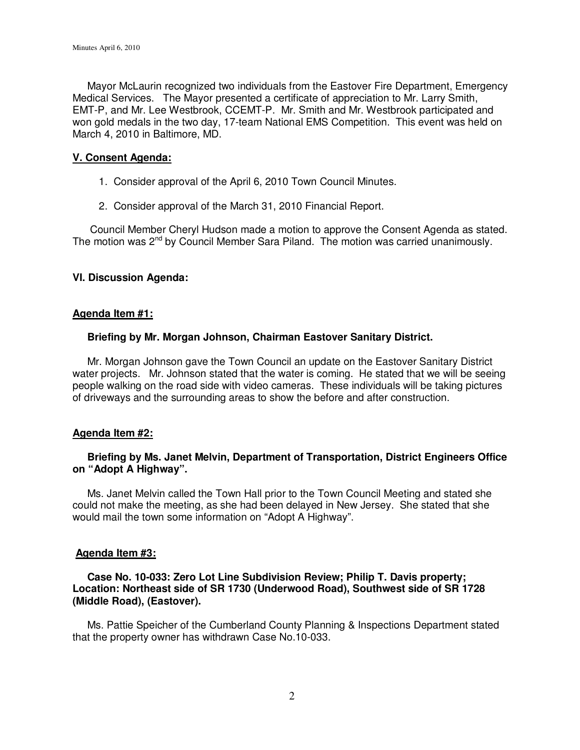Mayor McLaurin recognized two individuals from the Eastover Fire Department, Emergency Medical Services. The Mayor presented a certificate of appreciation to Mr. Larry Smith, EMT-P, and Mr. Lee Westbrook, CCEMT-P. Mr. Smith and Mr. Westbrook participated and won gold medals in the two day, 17-team National EMS Competition. This event was held on March 4, 2010 in Baltimore, MD.

### **V. Consent Agenda:**

- 1. Consider approval of the April 6, 2010 Town Council Minutes.
- 2. Consider approval of the March 31, 2010 Financial Report.

 Council Member Cheryl Hudson made a motion to approve the Consent Agenda as stated. The motion was 2<sup>nd</sup> by Council Member Sara Piland. The motion was carried unanimously.

# **VI. Discussion Agenda:**

#### **Agenda Item #1:**

#### **Briefing by Mr. Morgan Johnson, Chairman Eastover Sanitary District.**

 Mr. Morgan Johnson gave the Town Council an update on the Eastover Sanitary District water projects. Mr. Johnson stated that the water is coming. He stated that we will be seeing people walking on the road side with video cameras. These individuals will be taking pictures of driveways and the surrounding areas to show the before and after construction.

# **Agenda Item #2:**

# **Briefing by Ms. Janet Melvin, Department of Transportation, District Engineers Office on "Adopt A Highway".**

 Ms. Janet Melvin called the Town Hall prior to the Town Council Meeting and stated she could not make the meeting, as she had been delayed in New Jersey. She stated that she would mail the town some information on "Adopt A Highway".

#### **Agenda Item #3:**

### **Case No. 10-033: Zero Lot Line Subdivision Review; Philip T. Davis property; Location: Northeast side of SR 1730 (Underwood Road), Southwest side of SR 1728 (Middle Road), (Eastover).**

 Ms. Pattie Speicher of the Cumberland County Planning & Inspections Department stated that the property owner has withdrawn Case No.10-033.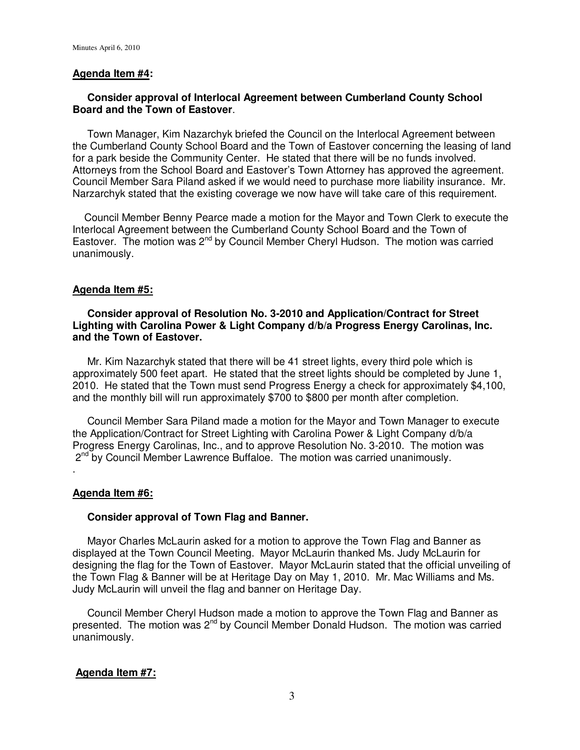#### **Agenda Item #4:**

# **Consider approval of Interlocal Agreement between Cumberland County School Board and the Town of Eastover**.

 Town Manager, Kim Nazarchyk briefed the Council on the Interlocal Agreement between the Cumberland County School Board and the Town of Eastover concerning the leasing of land for a park beside the Community Center. He stated that there will be no funds involved. Attorneys from the School Board and Eastover's Town Attorney has approved the agreement. Council Member Sara Piland asked if we would need to purchase more liability insurance. Mr. Narzarchyk stated that the existing coverage we now have will take care of this requirement.

 Council Member Benny Pearce made a motion for the Mayor and Town Clerk to execute the Interlocal Agreement between the Cumberland County School Board and the Town of Eastover. The motion was  $2^{nd}$  by Council Member Cheryl Hudson. The motion was carried unanimously.

#### **Agenda Item #5:**

# **Consider approval of Resolution No. 3-2010 and Application/Contract for Street Lighting with Carolina Power & Light Company d/b/a Progress Energy Carolinas, Inc. and the Town of Eastover.**

 Mr. Kim Nazarchyk stated that there will be 41 street lights, every third pole which is approximately 500 feet apart. He stated that the street lights should be completed by June 1, 2010. He stated that the Town must send Progress Energy a check for approximately \$4,100, and the monthly bill will run approximately \$700 to \$800 per month after completion.

 Council Member Sara Piland made a motion for the Mayor and Town Manager to execute the Application/Contract for Street Lighting with Carolina Power & Light Company d/b/a Progress Energy Carolinas, Inc., and to approve Resolution No. 3-2010. The motion was  $2<sup>nd</sup>$  by Council Member Lawrence Buffaloe. The motion was carried unanimously.

#### **Agenda Item #6:**

.

#### **Consider approval of Town Flag and Banner.**

 Mayor Charles McLaurin asked for a motion to approve the Town Flag and Banner as displayed at the Town Council Meeting. Mayor McLaurin thanked Ms. Judy McLaurin for designing the flag for the Town of Eastover. Mayor McLaurin stated that the official unveiling of the Town Flag & Banner will be at Heritage Day on May 1, 2010. Mr. Mac Williams and Ms. Judy McLaurin will unveil the flag and banner on Heritage Day.

 Council Member Cheryl Hudson made a motion to approve the Town Flag and Banner as presented. The motion was 2<sup>nd</sup> by Council Member Donald Hudson. The motion was carried unanimously.

#### **Agenda Item #7:**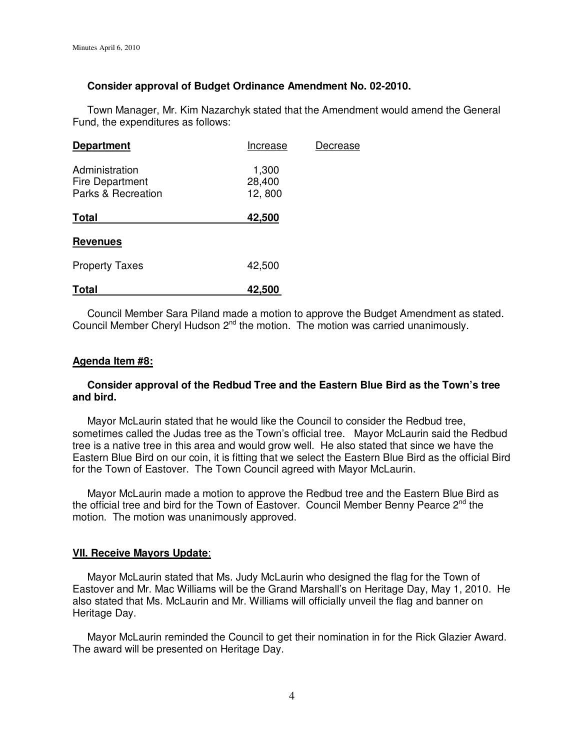# **Consider approval of Budget Ordinance Amendment No. 02-2010.**

Town Manager, Mr. Kim Nazarchyk stated that the Amendment would amend the General Fund, the expenditures as follows:

| <b>Department</b>                                       | Increase                  | Decrease |
|---------------------------------------------------------|---------------------------|----------|
| Administration<br>Fire Department<br>Parks & Recreation | 1,300<br>28,400<br>12,800 |          |
| <b>Total</b>                                            | 42,500                    |          |
| <b>Revenues</b>                                         |                           |          |
| <b>Property Taxes</b>                                   | 42,500                    |          |
| Total                                                   | 42,500                    |          |

 Council Member Sara Piland made a motion to approve the Budget Amendment as stated. Council Member Cheryl Hudson  $2<sup>nd</sup>$  the motion. The motion was carried unanimously.

#### **Agenda Item #8:**

# **Consider approval of the Redbud Tree and the Eastern Blue Bird as the Town's tree and bird.**

 Mayor McLaurin stated that he would like the Council to consider the Redbud tree, sometimes called the Judas tree as the Town's official tree. Mayor McLaurin said the Redbud tree is a native tree in this area and would grow well. He also stated that since we have the Eastern Blue Bird on our coin, it is fitting that we select the Eastern Blue Bird as the official Bird for the Town of Eastover. The Town Council agreed with Mayor McLaurin.

 Mayor McLaurin made a motion to approve the Redbud tree and the Eastern Blue Bird as the official tree and bird for the Town of Eastover. Council Member Benny Pearce  $2^{nd}$  the motion. The motion was unanimously approved.

#### **VII. Receive Mayors Update**:

 Mayor McLaurin stated that Ms. Judy McLaurin who designed the flag for the Town of Eastover and Mr. Mac Williams will be the Grand Marshall's on Heritage Day, May 1, 2010. He also stated that Ms. McLaurin and Mr. Williams will officially unveil the flag and banner on Heritage Day.

 Mayor McLaurin reminded the Council to get their nomination in for the Rick Glazier Award. The award will be presented on Heritage Day.